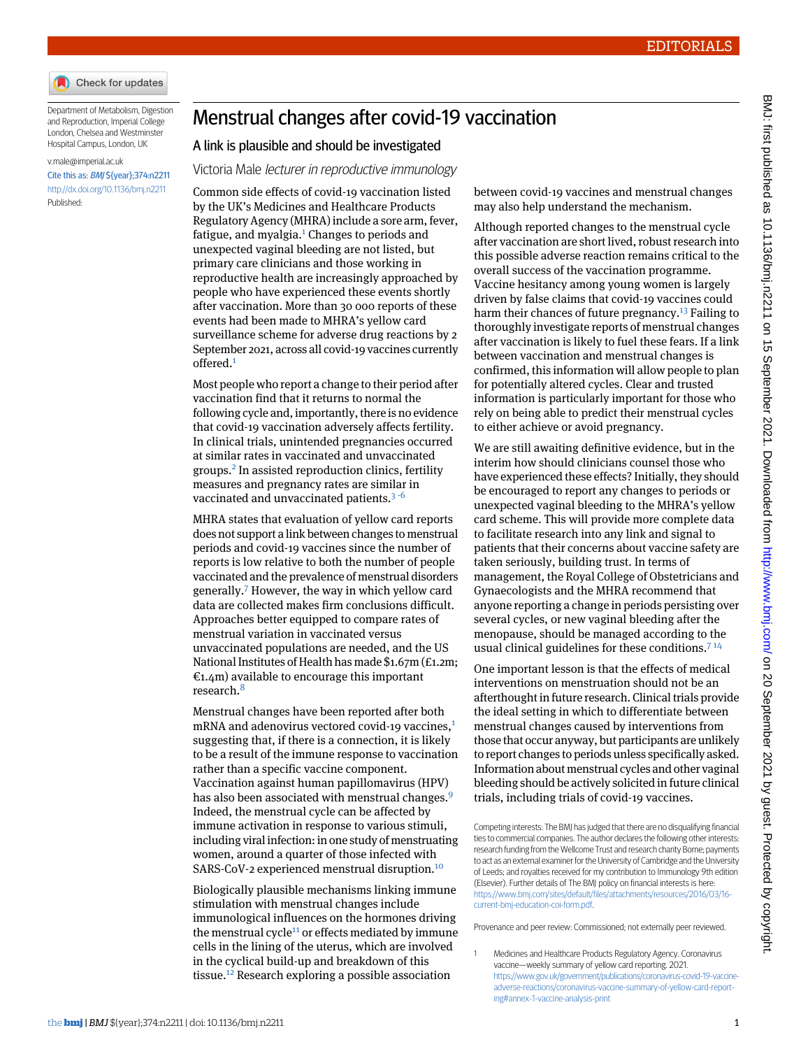

Department of Metabolism, Digestion and Reproduction, Imperial College London, Chelsea and Westminster Hospital Campus, London, UK

## [v.male@imperial.ac.uk](mailto:v.male@imperial.ac.uk) Cite this as: BMJ \${year};374:n2211

<http://dx.doi.org/10.1136/bmj.n2211> Published:

## Menstrual changes after covid-19 vaccination

## A link is plausible and should be investigated

Victoria Male lecturer in reproductive immunology

Common side effects of covid-19 vaccination listed by the UK's Medicines and Healthcare Products Regulatory Agency (MHRA) include a sore arm, fever, fatigue, and myalgia.<sup>[1](#page-0-0)</sup> Changes to periods and unexpected vaginal bleeding are not listed, but primary care clinicians and those working in reproductive health are increasingly approached by people who have experienced these events shortly after vaccination. More than 30 000 reports of these events had been made to MHRA's yellow card surveillance scheme for adverse drug reactions by 2 September 2021, across all covid-19 vaccines currently offered.[1](#page-0-0)

Most people who report a change to their period after vaccination find that it returns to normal the following cycle and, importantly, there is no evidence that covid-19 vaccination adversely affects fertility. In clinical trials, unintended pregnancies occurred at similar rates in vaccinated and unvaccinated groups.[2](#page-1-0) In assisted reproduction clinics, fertility measures and pregnancy rates are similar in vaccinated and unvaccinated patients. $3-6$  $3-6$  $3-6$ 

MHRA states that evaluation of yellow card reports does not support a link between changes to menstrual periods and covid-19 vaccines since the number of reports is low relative to both the number of people vaccinated and the prevalence of menstrual disorders generally.[7](#page-1-4) However, the way in which yellow card data are collected makes firm conclusions difficult. Approaches better equipped to compare rates of menstrual variation in vaccinated versus unvaccinated populations are needed, and the US National Institutes of Health has made \$1.67m (£1.2m;  $\epsilon$ 1.4m) available to encourage this important research.[8](#page-1-5)

Menstrual changes have been reported after both mRNA and adenovirus vectored covid-[1](#page-0-0)9 vaccines.<sup>1</sup> suggesting that, if there is a connection, it is likely to be a result of the immune response to vaccination rather than a specific vaccine component. Vaccination against human papillomavirus (HPV) has also been associated with menstrual changes.<sup>[9](#page-1-6)</sup> Indeed, the menstrual cycle can be affected by immune activation in response to various stimuli, including viral infection: in one study of menstruating women, around a quarter of those infected with SARS-CoV-2 experienced menstrual disruption.<sup>[10](#page-1-7)</sup>

Biologically plausible mechanisms linking immune stimulation with menstrual changes include immunological influences on the hormones driving the menstrual cycle $11$  or effects mediated by immune cells in the lining of the uterus, which are involved in the cyclical build-up and breakdown of this tissue.<sup>[12](#page-1-9)</sup> Research exploring a possible association

between covid-19 vaccines and menstrual changes may also help understand the mechanism.

Although reported changes to the menstrual cycle after vaccination are short lived, robust research into this possible adverse reaction remains critical to the overall success of the vaccination programme. Vaccine hesitancy among young women is largely driven by false claims that covid-19 vaccines could harm their chances of future pregnancy.<sup>[13](#page-1-10)</sup> Failing to thoroughly investigate reports of menstrual changes after vaccination is likely to fuel these fears. If a link between vaccination and menstrual changes is confirmed, this information will allow people to plan for potentially altered cycles. Clear and trusted information is particularly important for those who rely on being able to predict their menstrual cycles to either achieve or avoid pregnancy.

We are still awaiting definitive evidence, but in the interim how should clinicians counsel those who have experienced these effects? Initially, they should be encouraged to report any changes to periods or unexpected vaginal bleeding to the MHRA's yellow card scheme. This will provide more complete data to facilitate research into any link and signal to patients that their concerns about vaccine safety are taken seriously, building trust. In terms of management, the Royal College of Obstetricians and Gynaecologists and the MHRA recommend that anyone reporting a change in periods persisting over several cycles, or new vaginal bleeding after the menopause, should be managed according to the usual clinical guidelines for these conditions.<sup>[7](#page-1-4)14</sup>

One important lesson is that the effects of medical interventions on menstruation should not be an afterthought in future research. Clinical trials provide the ideal setting in which to differentiate between menstrual changes caused by interventions from those that occur anyway, but participants are unlikely to report changes to periods unless specifically asked. Information about menstrual cycles and other vaginal bleeding should be actively solicited in future clinical trials, including trials of covid-19 vaccines.

<span id="page-0-0"></span>Competing interests: The BMJ has judged that there are no disqualifying financial ties to commercial companies. The author declares the following other interests: research funding from the Wellcome Trust and research charity Borne; payments to act as an external examiner for the University of Cambridge and the University of Leeds; and royalties received for my contribution to Immunology 9th edition (Elsevier). Further details of The BMJ policy on financial interests is here: [https://www.bmj.com/sites/default/files/attachments/resources/2016/03/16](https://www.bmj.com/sites/default/files/attachments/resources/2016/03/16-current-bmj-education-coi-form.pdf) [current-bmj-education-coi-form.pdf](https://www.bmj.com/sites/default/files/attachments/resources/2016/03/16-current-bmj-education-coi-form.pdf).

Provenance and peer review: Commissioned; not externally peer reviewed.

<sup>1</sup> Medicines and Healthcare Products Regulatory Agency. Coronavirus vaccine—weekly summary of yellow card reporting. 2021. [https://www.gov.uk/government/publications/coronavirus-covid-19-vaccine](https://www.gov.uk/government/publications/coronavirus-covid-19-vaccine-adverse-reactions/coronavirus-vaccine-summary-of-yellow-card-reporting#annex-1-vaccine-analysis-print)[adverse-reactions/coronavirus-vaccine-summary-of-yellow-card-report](https://www.gov.uk/government/publications/coronavirus-covid-19-vaccine-adverse-reactions/coronavirus-vaccine-summary-of-yellow-card-reporting#annex-1-vaccine-analysis-print)[ing#annex-1-vaccine-analysis-print](https://www.gov.uk/government/publications/coronavirus-covid-19-vaccine-adverse-reactions/coronavirus-vaccine-summary-of-yellow-card-reporting#annex-1-vaccine-analysis-print)